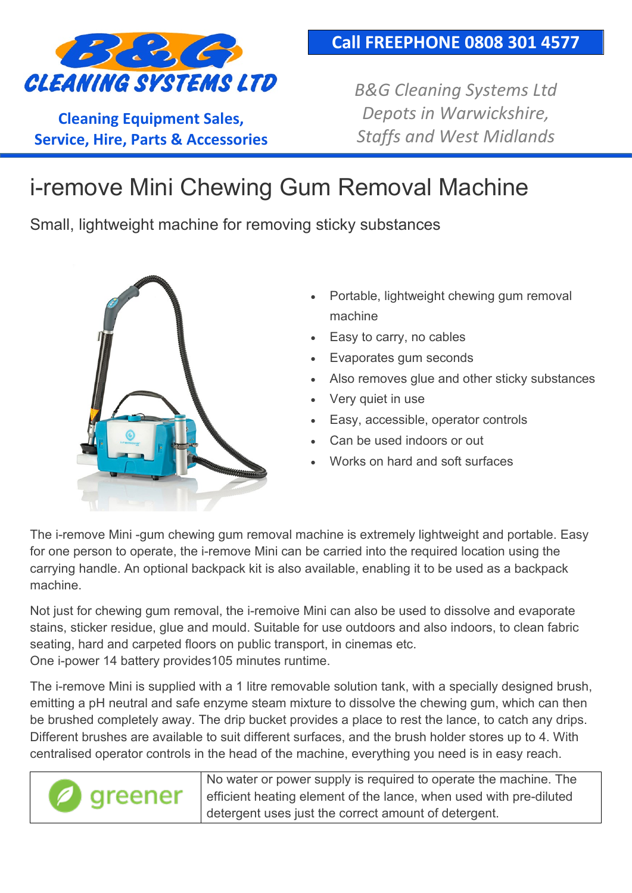

**Cleaning Equipment Sales, Service, Hire, Parts & Accessories** *B&G Cleaning Systems Ltd Depots in Warwickshire, Staffs and West Midlands*

## i-remove Mini Chewing Gum Removal Machine

Small, lightweight machine for removing sticky substances



- Portable, lightweight chewing gum removal machine
- Easy to carry, no cables
- Evaporates gum seconds
- Also removes glue and other sticky substances
- Very quiet in use
- Easy, accessible, operator controls
- Can be used indoors or out
- Works on hard and soft surfaces

The i-remove Mini -gum chewing gum removal machine is extremely lightweight and portable. Easy for one person to operate, the i-remove Mini can be carried into the required location using the carrying handle. An optional backpack kit is also available, enabling it to be used as a backpack machine.

Not just for chewing gum removal, the i-remoive Mini can also be used to dissolve and evaporate stains, sticker residue, glue and mould. Suitable for use outdoors and also indoors, to clean fabric seating, hard and carpeted floors on public transport, in cinemas etc. One i-power 14 battery provides105 minutes runtime.

The i-remove Mini is supplied with a 1 litre removable solution tank, with a specially designed brush, emitting a pH neutral and safe enzyme steam mixture to dissolve the chewing gum, which can then be brushed completely away. The drip bucket provides a place to rest the lance, to catch any drips. Different brushes are available to suit different surfaces, and the brush holder stores up to 4. With centralised operator controls in the head of the machine, everything you need is in easy reach.

> No water or power supply is required to operate the machine. The greener efficient heating element of the lance, when used with pre-diluted detergent uses just the correct amount of detergent.